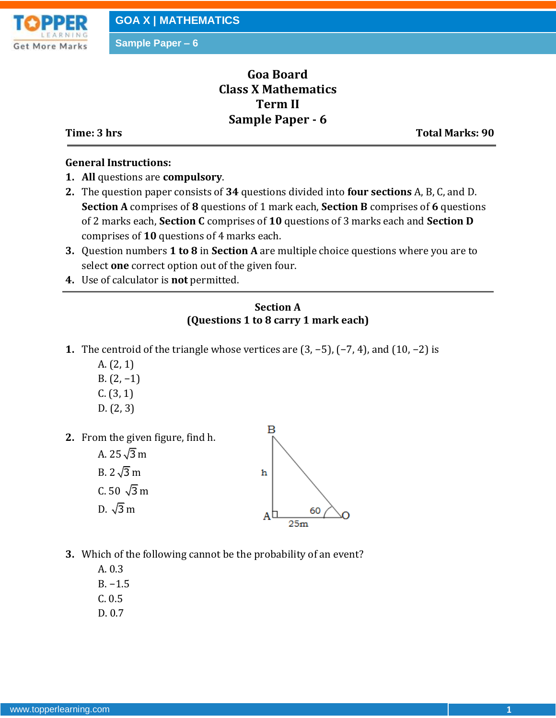

**Sample Paper – 6**

# **Goa Board Class X Mathematics Term II Sample Paper - 6**

**Time: 3 hrs** Total Marks: 90

#### **General Instructions:**

- **1. All** questions are **compulsory**.
- **2.** The question paper consists of **34** questions divided into **four sections** A, B, C, and D. **Section A** comprises of **8** questions of 1 mark each, **Section B** comprises of **6** questions of 2 marks each, **Section C** comprises of **10** questions of 3 marks each and **Section D** comprises of **10** questions of 4 marks each.
- **3.** Question numbers **1 to 8** in **Section A** are multiple choice questions where you are to select **one** correct option out of the given four.
- **4.** Use of calculator is **not** permitted.

### **Section A (Questions 1 to 8 carry 1 mark each)**

- **1.** The centroid of the triangle whose vertices are (3, −5), (−7, 4), and (10, −2) is
	- A. (2, 1)
	- B. (2, −1)
	- $C. (3, 1)$
	- D. (2, 3)
- **2.** From the given figure, find h.
	- A. 25 √3 m B. 2 √3 m C. 50  $\sqrt{3}$  m D. √3 m



- **3.** Which of the following cannot be the probability of an event?
	- A. 0.3 B. −1.5
	- C. 0.5
	- D. 0.7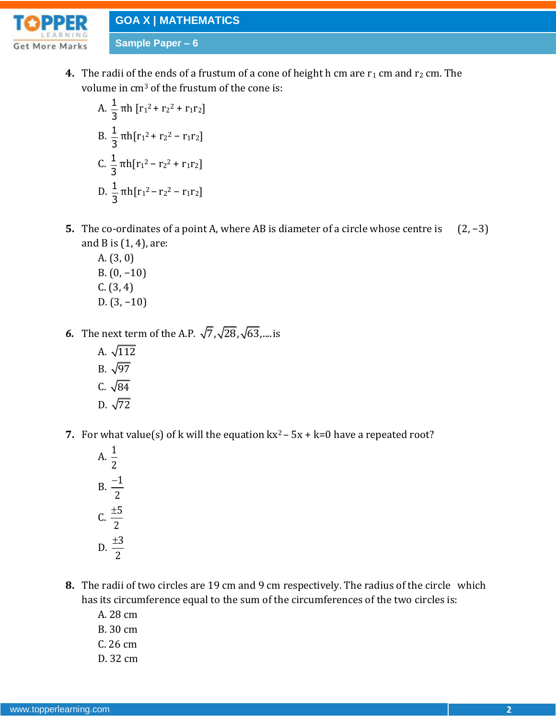**GOA X | MATHEMATICS**

**Sample Paper – 6**



**4.** The radii of the ends of a frustum of a cone of height h cm are  $r_1$  cm and  $r_2$  cm. The volume in cm<sup>3</sup> of the frustum of the cone is:

A. 
$$
\frac{1}{3} \pi h [r_1^2 + r_2^2 + r_1 r_2]
$$
  
\nB.  $\frac{1}{3} \pi h [r_1^2 + r_2^2 - r_1 r_2]$   
\nC.  $\frac{1}{3} \pi h [r_1^2 - r_2^2 + r_1 r_2]$   
\nD.  $\frac{1}{3} \pi h [r_1^2 - r_2^2 - r_1 r_2]$ 

- **5.** The co-ordinates of a point A, where AB is diameter of a circle whose centre is (2, −3) and B is  $(1, 4)$ , are:
	- A. (3, 0) B. (0, −10) C. (3, 4) D. (3, −10)
- **6.** The next term of the A.P.  $\sqrt{7}, \sqrt{28}, \sqrt{63}, \dots$  is
	- A. √112 B. √97 C. √84 D. √72
- **7.** For what value(s) of k will the equation  $kx^2 5x + k = 0$  have a repeated root?
	- A.  $\frac{1}{2}$ 2  $B. \frac{-1}{2}$ 2  $\overline{a}$ c.  $\frac{\pm 5}{2}$ 2  $\pm$  $\frac{\pm 3}{\sqrt{2}}$ 2  $\pm$
- **8.** The radii of two circles are 19 cm and 9 cm respectively. The radius of the circle which has its circumference equal to the sum of the circumferences of the two circles is:
	- A. 28 cm
	- B. 30 cm
	- C. 26 cm
	- D. 32 cm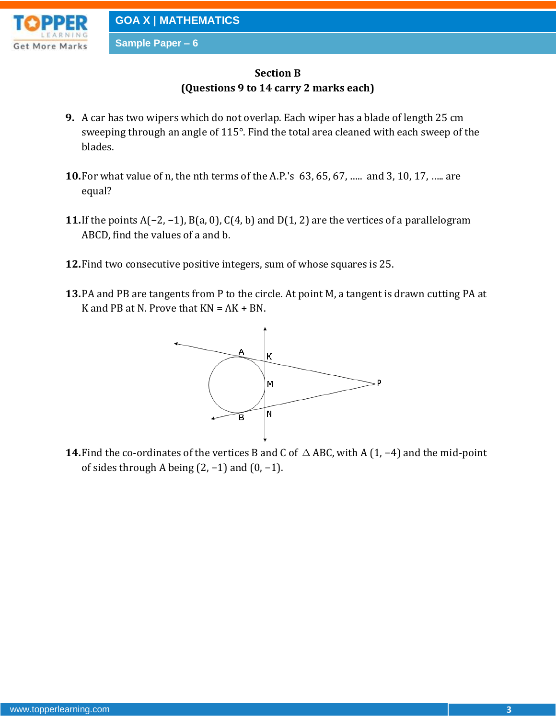

### **Sample Paper – 6**

## **Section B (Questions 9 to 14 carry 2 marks each)**

- **9.** A car has two wipers which do not overlap. Each wiper has a blade of length 25 cm sweeping through an angle of 115°. Find the total area cleaned with each sweep of the blades.
- **10.**For what value of n, the nth terms of the A.P.'s 63, 65, 67, ….. and 3, 10, 17, ….. are equal?
- **11.**If the points A(−2, −1), B(a, 0), C(4, b) and D(1, 2) are the vertices of a parallelogram ABCD, find the values of a and b.
- **12.**Find two consecutive positive integers, sum of whose squares is 25.
- **13.**PA and PB are tangents from P to the circle. At point M, a tangent is drawn cutting PA at K and PB at N. Prove that  $KN = AK + BN$ .



**14.** Find the co-ordinates of the vertices B and C of  $\triangle$  ABC, with A (1, −4) and the mid-point of sides through A being (2, −1) and (0, −1).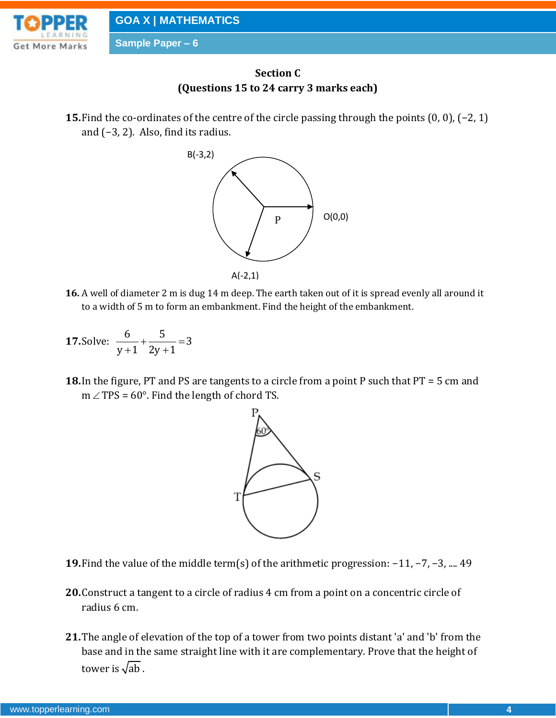

**GOA X | MATHEMATICS**

**Sample Paper – 6**



**15.**Find the co-ordinates of the centre of the circle passing through the points (0, 0), (−2, 1) and (−3, 2). Also, find its radius.



**16.** A well of diameter 2 m is dug 14 m deep. The earth taken out of it is spread evenly all around it to a width of 5 m to form an embankment. Find the height of the embankment.

**17. Solve:** 
$$
\frac{6}{y+1} + \frac{5}{2y+1} = 3
$$

**18.**In the figure, PT and PS are tangents to a circle from a point P such that PT = 5 cm and  $m \angle TPS = 60^{\circ}$ . Find the length of chord TS.



- **19.**Find the value of the middle term(s) of the arithmetic progression: −11, −7, −3, .... 49
- **20.**Construct a tangent to a circle of radius 4 cm from a point on a concentric circle of radius 6 cm.
- **21.**The angle of elevation of the top of a tower from two points distant 'a' and 'b' from the base and in the same straight line with it are complementary. Prove that the height of tower is  $\sqrt{\mathrm{ab}}$  .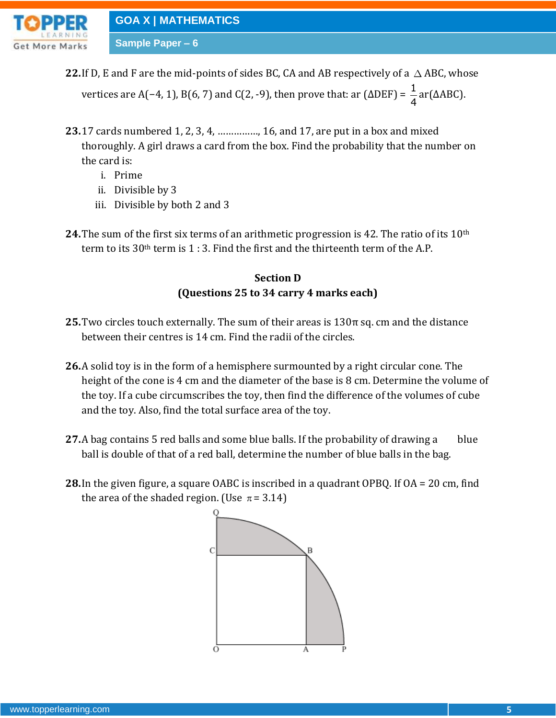

## **GOA X | MATHEMATICS**

**Sample Paper – 6**

22. If D, E and F are the mid-points of sides BC, CA and AB respectively of a  $\triangle$  ABC, whose

vertices are A(−4, 1), B(6, 7) and C(2, -9), then prove that: ar (ΔDEF) =  $\frac{1}{4}$ 4 ar(ΔABC).

- **23.**17 cards numbered 1, 2, 3, 4, ……………, 16, and 17, are put in a box and mixed thoroughly. A girl draws a card from the box. Find the probability that the number on the card is:
	- i. Prime
	- ii. Divisible by 3
	- iii. Divisible by both 2 and 3
- **24.**The sum of the first six terms of an arithmetic progression is 42. The ratio of its 10th term to its  $30<sup>th</sup>$  term is 1 : 3. Find the first and the thirteenth term of the A.P.

## **Section D (Questions 25 to 34 carry 4 marks each)**

- **25.**Two circles touch externally. The sum of their areas is 130π sq. cm and the distance between their centres is 14 cm. Find the radii of the circles.
- **26.**A solid toy is in the form of a hemisphere surmounted by a right circular cone. The height of the cone is 4 cm and the diameter of the base is 8 cm. Determine the volume of the toy. If a cube circumscribes the toy, then find the difference of the volumes of cube and the toy. Also, find the total surface area of the toy.
- **27.**A bag contains 5 red balls and some blue balls. If the probability of drawing a blue ball is double of that of a red ball, determine the number of blue balls in the bag.
- **28.**In the given figure, a square OABC is inscribed in a quadrant OPBQ. If OA = 20 cm, find the area of the shaded region. (Use  $\pi$  = 3.14)